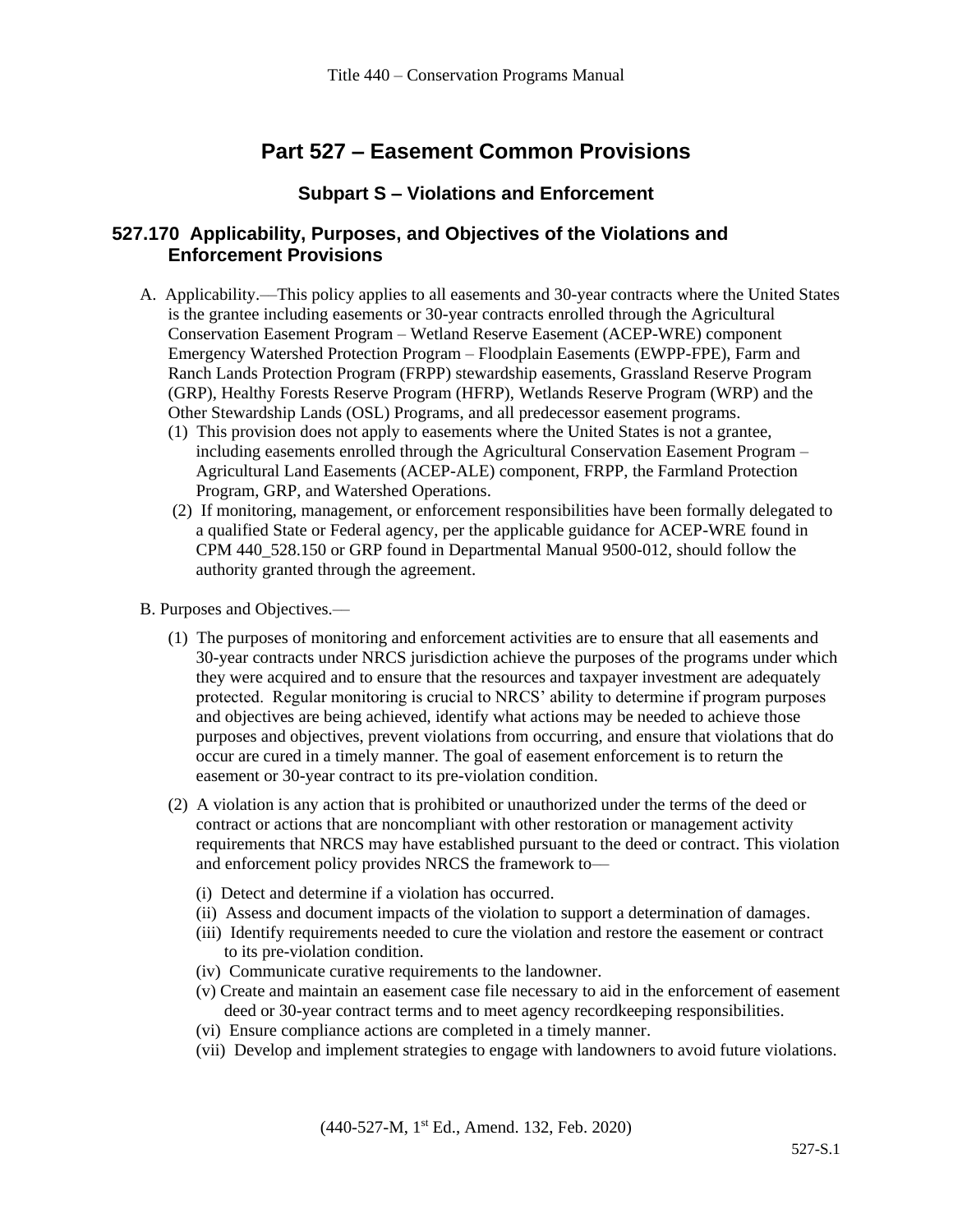# **Part 527 – Easement Common Provisions**

#### **Subpart S – Violations and Enforcement**

#### **527.170 Applicability, Purposes, and Objectives of the Violations and Enforcement Provisions**

- A. Applicability.––This policy applies to all easements and 30-year contracts where the United States is the grantee including easements or 30-year contracts enrolled through the Agricultural Conservation Easement Program – Wetland Reserve Easement (ACEP-WRE) component Emergency Watershed Protection Program – Floodplain Easements (EWPP-FPE), Farm and Ranch Lands Protection Program (FRPP) stewardship easements, Grassland Reserve Program (GRP), Healthy Forests Reserve Program (HFRP), Wetlands Reserve Program (WRP) and the Other Stewardship Lands (OSL) Programs, and all predecessor easement programs.
	- (1) This provision does not apply to easements where the United States is not a grantee, including easements enrolled through the Agricultural Conservation Easement Program – Agricultural Land Easements (ACEP-ALE) component, FRPP, the Farmland Protection Program, GRP, and Watershed Operations.
	- (2) If monitoring, management, or enforcement responsibilities have been formally delegated to a qualified State or Federal agency, per the applicable guidance for ACEP-WRE found in CPM 440\_528.150 or GRP found in Departmental Manual 9500-012, should follow the authority granted through the agreement.
- B. Purposes and Objectives.––
	- (1) The purposes of monitoring and enforcement activities are to ensure that all easements and 30-year contracts under NRCS jurisdiction achieve the purposes of the programs under which they were acquired and to ensure that the resources and taxpayer investment are adequately protected. Regular monitoring is crucial to NRCS' ability to determine if program purposes and objectives are being achieved, identify what actions may be needed to achieve those purposes and objectives, prevent violations from occurring, and ensure that violations that do occur are cured in a timely manner. The goal of easement enforcement is to return the easement or 30-year contract to its pre-violation condition.
	- (2) A violation is any action that is prohibited or unauthorized under the terms of the deed or contract or actions that are noncompliant with other restoration or management activity requirements that NRCS may have established pursuant to the deed or contract. This violation and enforcement policy provides NRCS the framework to-
		- (i) Detect and determine if a violation has occurred.
		- (ii) Assess and document impacts of the violation to support a determination of damages.
		- (iii) Identify requirements needed to cure the violation and restore the easement or contract to its pre-violation condition.
		- (iv) Communicate curative requirements to the landowner.
		- (v) Create and maintain an easement case file necessary to aid in the enforcement of easement deed or 30-year contract terms and to meet agency recordkeeping responsibilities.
		- (vi) Ensure compliance actions are completed in a timely manner.
		- (vii) Develop and implement strategies to engage with landowners to avoid future violations.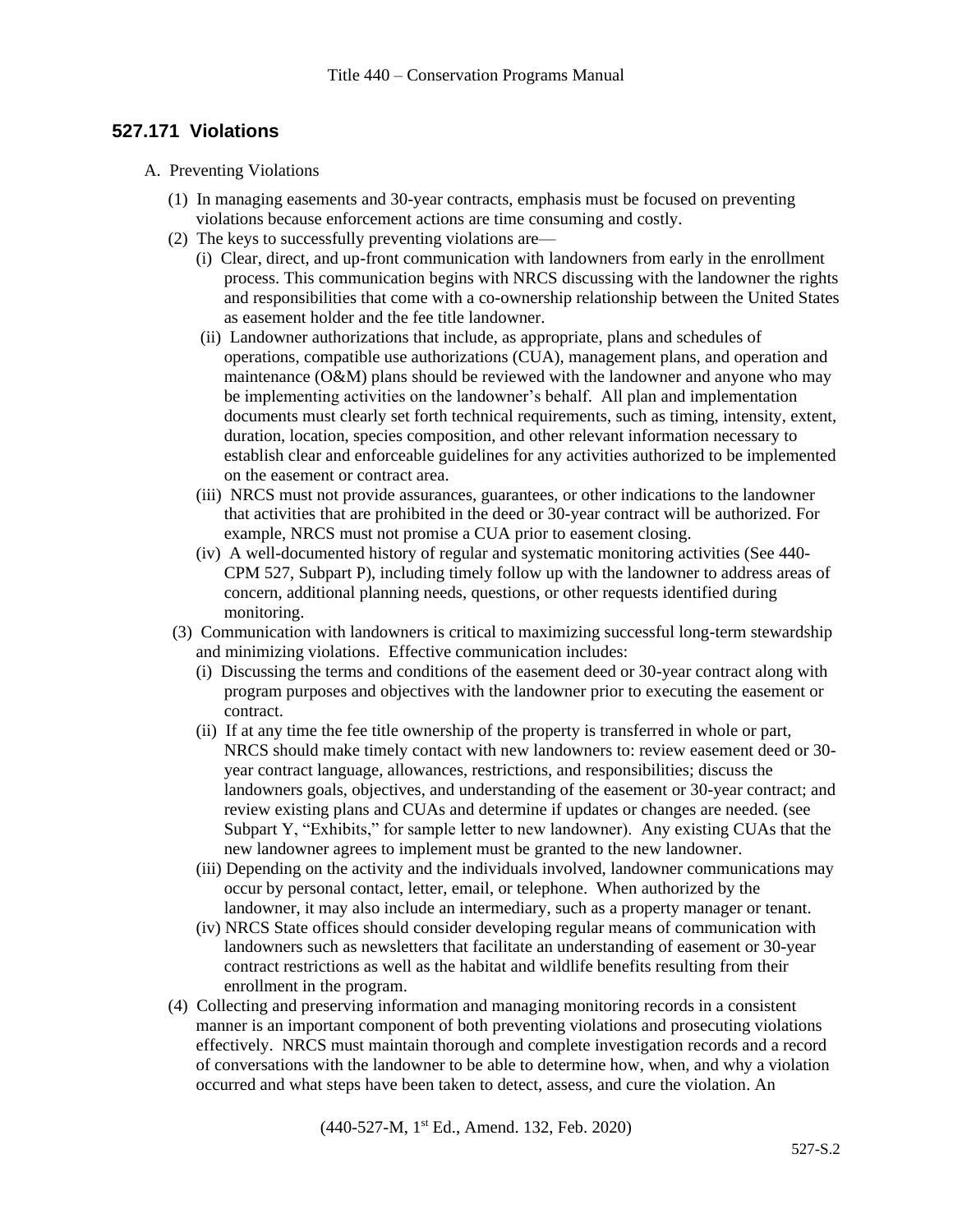## **527.171 Violations**

- A. Preventing Violations
	- (1) In managing easements and 30-year contracts, emphasis must be focused on preventing violations because enforcement actions are time consuming and costly.
	- (2) The keys to successfully preventing violations are—
		- (i) Clear, direct, and up-front communication with landowners from early in the enrollment process. This communication begins with NRCS discussing with the landowner the rights and responsibilities that come with a co-ownership relationship between the United States as easement holder and the fee title landowner.
		- (ii) Landowner authorizations that include, as appropriate, plans and schedules of operations, compatible use authorizations (CUA), management plans, and operation and maintenance (O&M) plans should be reviewed with the landowner and anyone who may be implementing activities on the landowner's behalf. All plan and implementation documents must clearly set forth technical requirements, such as timing, intensity, extent, duration, location, species composition, and other relevant information necessary to establish clear and enforceable guidelines for any activities authorized to be implemented on the easement or contract area.
		- (iii) NRCS must not provide assurances, guarantees, or other indications to the landowner that activities that are prohibited in the deed or 30-year contract will be authorized. For example, NRCS must not promise a CUA prior to easement closing.
		- (iv) A well-documented history of regular and systematic monitoring activities (See 440- CPM 527, Subpart P), including timely follow up with the landowner to address areas of concern, additional planning needs, questions, or other requests identified during monitoring.
	- (3) Communication with landowners is critical to maximizing successful long-term stewardship and minimizing violations. Effective communication includes:
		- (i) Discussing the terms and conditions of the easement deed or 30-year contract along with program purposes and objectives with the landowner prior to executing the easement or contract.
		- (ii) If at any time the fee title ownership of the property is transferred in whole or part, NRCS should make timely contact with new landowners to: review easement deed or 30 year contract language, allowances, restrictions, and responsibilities; discuss the landowners goals, objectives, and understanding of the easement or 30-year contract; and review existing plans and CUAs and determine if updates or changes are needed. (see Subpart Y, "Exhibits," for sample letter to new landowner). Any existing CUAs that the new landowner agrees to implement must be granted to the new landowner.
		- (iii) Depending on the activity and the individuals involved, landowner communications may occur by personal contact, letter, email, or telephone. When authorized by the landowner, it may also include an intermediary, such as a property manager or tenant.
		- (iv) NRCS State offices should consider developing regular means of communication with landowners such as newsletters that facilitate an understanding of easement or 30-year contract restrictions as well as the habitat and wildlife benefits resulting from their enrollment in the program.
	- (4) Collecting and preserving information and managing monitoring records in a consistent manner is an important component of both preventing violations and prosecuting violations effectively. NRCS must maintain thorough and complete investigation records and a record of conversations with the landowner to be able to determine how, when, and why a violation occurred and what steps have been taken to detect, assess, and cure the violation. An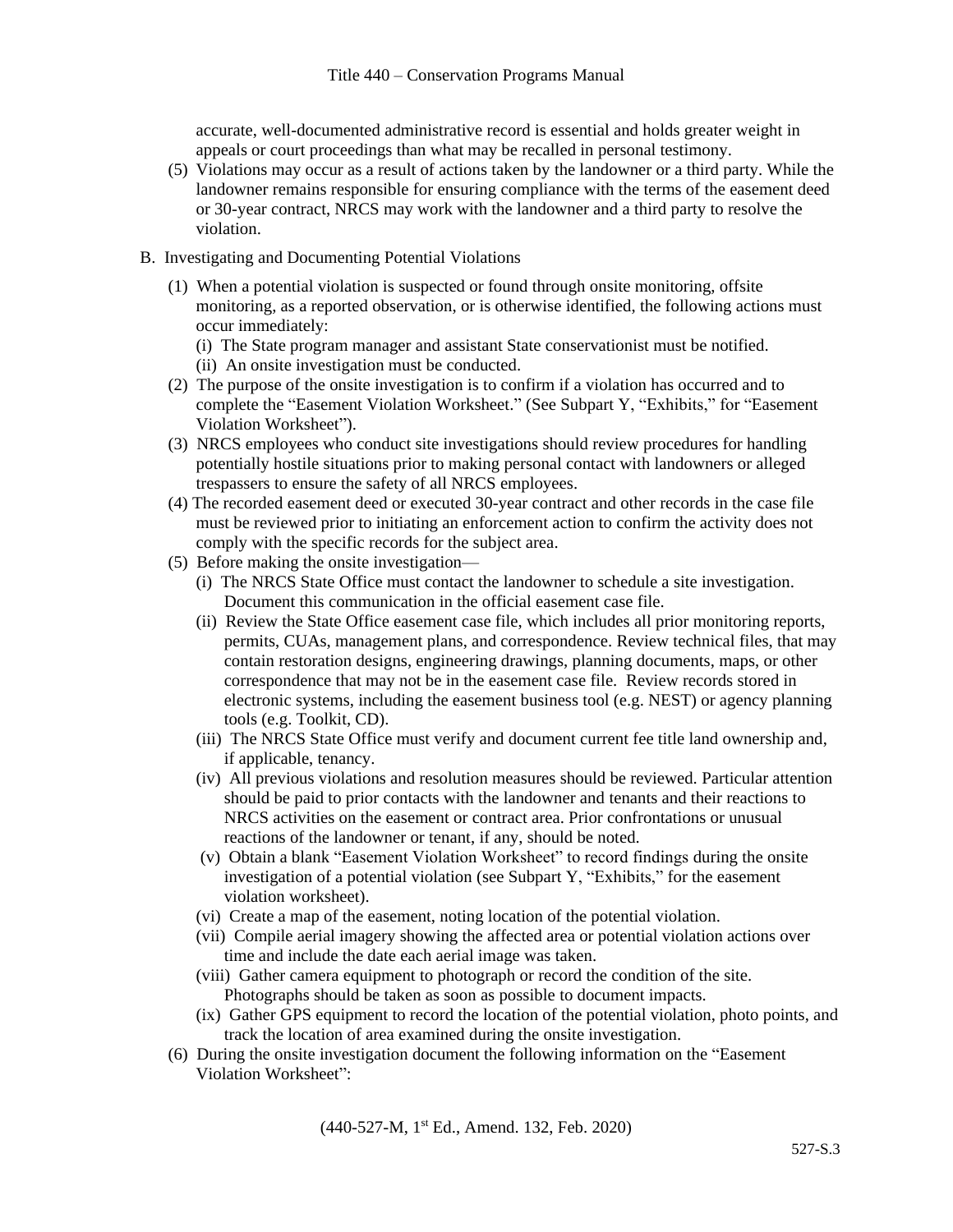accurate, well-documented administrative record is essential and holds greater weight in appeals or court proceedings than what may be recalled in personal testimony.

- (5) Violations may occur as a result of actions taken by the landowner or a third party. While the landowner remains responsible for ensuring compliance with the terms of the easement deed or 30-year contract, NRCS may work with the landowner and a third party to resolve the violation.
- B. Investigating and Documenting Potential Violations
	- (1) When a potential violation is suspected or found through onsite monitoring, offsite monitoring, as a reported observation, or is otherwise identified, the following actions must occur immediately:
		- (i) The State program manager and assistant State conservationist must be notified.
		- (ii) An onsite investigation must be conducted.
	- (2) The purpose of the onsite investigation is to confirm if a violation has occurred and to complete the "Easement Violation Worksheet." (See Subpart Y, "Exhibits," for "Easement Violation Worksheet").
	- (3) NRCS employees who conduct site investigations should review procedures for handling potentially hostile situations prior to making personal contact with landowners or alleged trespassers to ensure the safety of all NRCS employees.
	- (4) The recorded easement deed or executed 30-year contract and other records in the case file must be reviewed prior to initiating an enforcement action to confirm the activity does not comply with the specific records for the subject area.
	- (5) Before making the onsite investigation—
		- (i) The NRCS State Office must contact the landowner to schedule a site investigation. Document this communication in the official easement case file.
		- (ii) Review the State Office easement case file, which includes all prior monitoring reports, permits, CUAs, management plans, and correspondence. Review technical files, that may contain restoration designs, engineering drawings, planning documents, maps, or other correspondence that may not be in the easement case file. Review records stored in electronic systems, including the easement business tool (e.g. NEST) or agency planning tools (e.g. Toolkit, CD).
		- (iii) The NRCS State Office must verify and document current fee title land ownership and, if applicable, tenancy.
		- (iv) All previous violations and resolution measures should be reviewed. Particular attention should be paid to prior contacts with the landowner and tenants and their reactions to NRCS activities on the easement or contract area. Prior confrontations or unusual reactions of the landowner or tenant, if any, should be noted.
		- (v) Obtain a blank "Easement Violation Worksheet" to record findings during the onsite investigation of a potential violation (see Subpart Y, "Exhibits," for the easement violation worksheet).
		- (vi) Create a map of the easement, noting location of the potential violation.
		- (vii) Compile aerial imagery showing the affected area or potential violation actions over time and include the date each aerial image was taken.
		- (viii) Gather camera equipment to photograph or record the condition of the site. Photographs should be taken as soon as possible to document impacts.
		- (ix) Gather GPS equipment to record the location of the potential violation, photo points, and track the location of area examined during the onsite investigation.
	- (6) During the onsite investigation document the following information on the "Easement Violation Worksheet":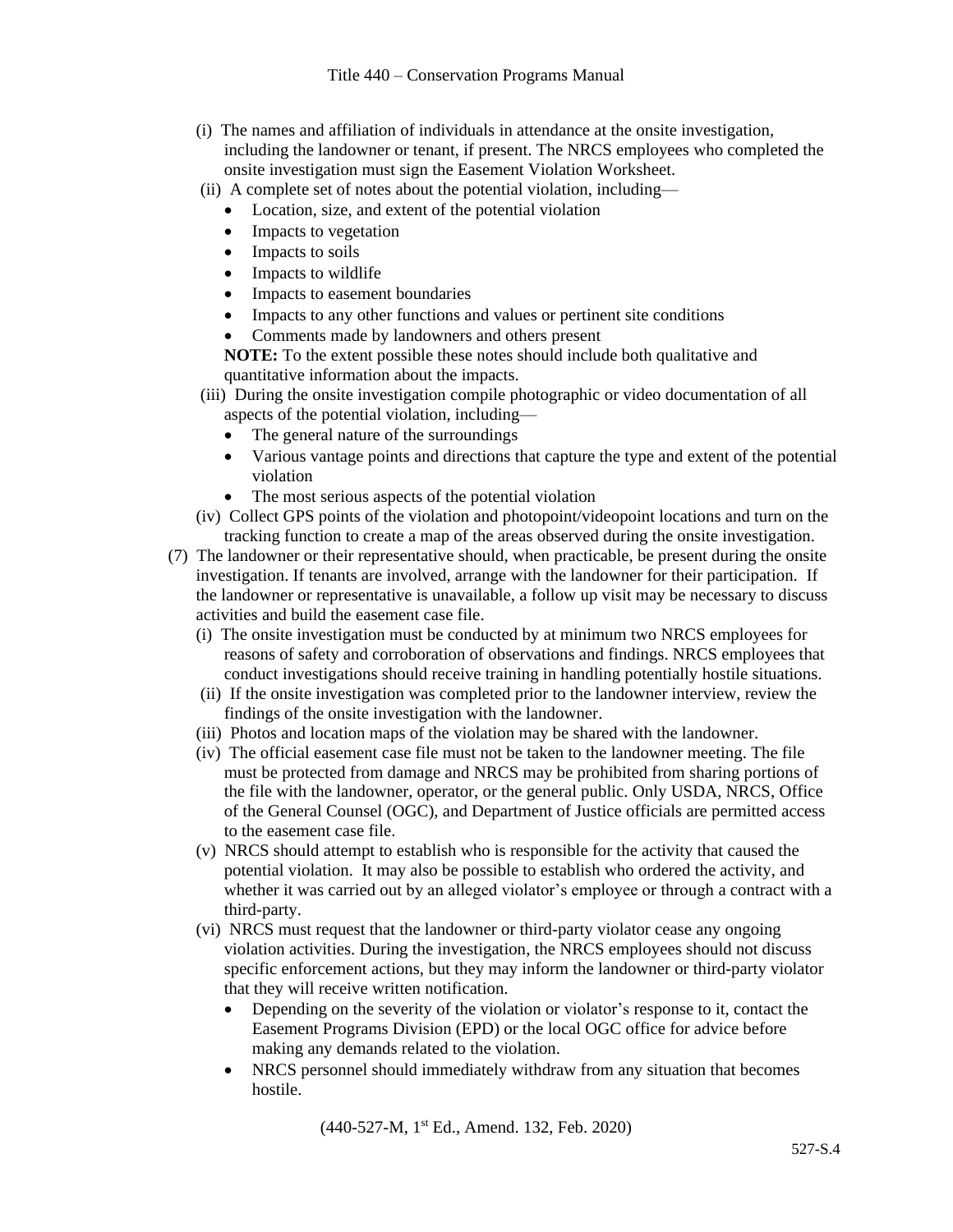- (i) The names and affiliation of individuals in attendance at the onsite investigation, including the landowner or tenant, if present. The NRCS employees who completed the onsite investigation must sign the Easement Violation Worksheet.
- (ii) A complete set of notes about the potential violation, including—
	- Location, size, and extent of the potential violation
	- Impacts to vegetation
	- Impacts to soils
	- Impacts to wildlife
	- Impacts to easement boundaries
	- Impacts to any other functions and values or pertinent site conditions
	- Comments made by landowners and others present

**NOTE:** To the extent possible these notes should include both qualitative and quantitative information about the impacts.

- (iii) During the onsite investigation compile photographic or video documentation of all aspects of the potential violation, including—
	- The general nature of the surroundings
	- Various vantage points and directions that capture the type and extent of the potential violation
	- The most serious aspects of the potential violation
- (iv) Collect GPS points of the violation and photopoint/videopoint locations and turn on the tracking function to create a map of the areas observed during the onsite investigation.
- (7) The landowner or their representative should, when practicable, be present during the onsite investigation. If tenants are involved, arrange with the landowner for their participation. If the landowner or representative is unavailable, a follow up visit may be necessary to discuss activities and build the easement case file.
	- (i) The onsite investigation must be conducted by at minimum two NRCS employees for reasons of safety and corroboration of observations and findings. NRCS employees that conduct investigations should receive training in handling potentially hostile situations.
	- (ii) If the onsite investigation was completed prior to the landowner interview, review the findings of the onsite investigation with the landowner.
	- (iii) Photos and location maps of the violation may be shared with the landowner.
	- (iv) The official easement case file must not be taken to the landowner meeting. The file must be protected from damage and NRCS may be prohibited from sharing portions of the file with the landowner, operator, or the general public. Only USDA, NRCS, Office of the General Counsel (OGC), and Department of Justice officials are permitted access to the easement case file.
	- (v) NRCS should attempt to establish who is responsible for the activity that caused the potential violation. It may also be possible to establish who ordered the activity, and whether it was carried out by an alleged violator's employee or through a contract with a third-party.
	- (vi) NRCS must request that the landowner or third-party violator cease any ongoing violation activities. During the investigation, the NRCS employees should not discuss specific enforcement actions, but they may inform the landowner or third-party violator that they will receive written notification.
		- Depending on the severity of the violation or violator's response to it, contact the Easement Programs Division (EPD) or the local OGC office for advice before making any demands related to the violation.
		- NRCS personnel should immediately withdraw from any situation that becomes hostile.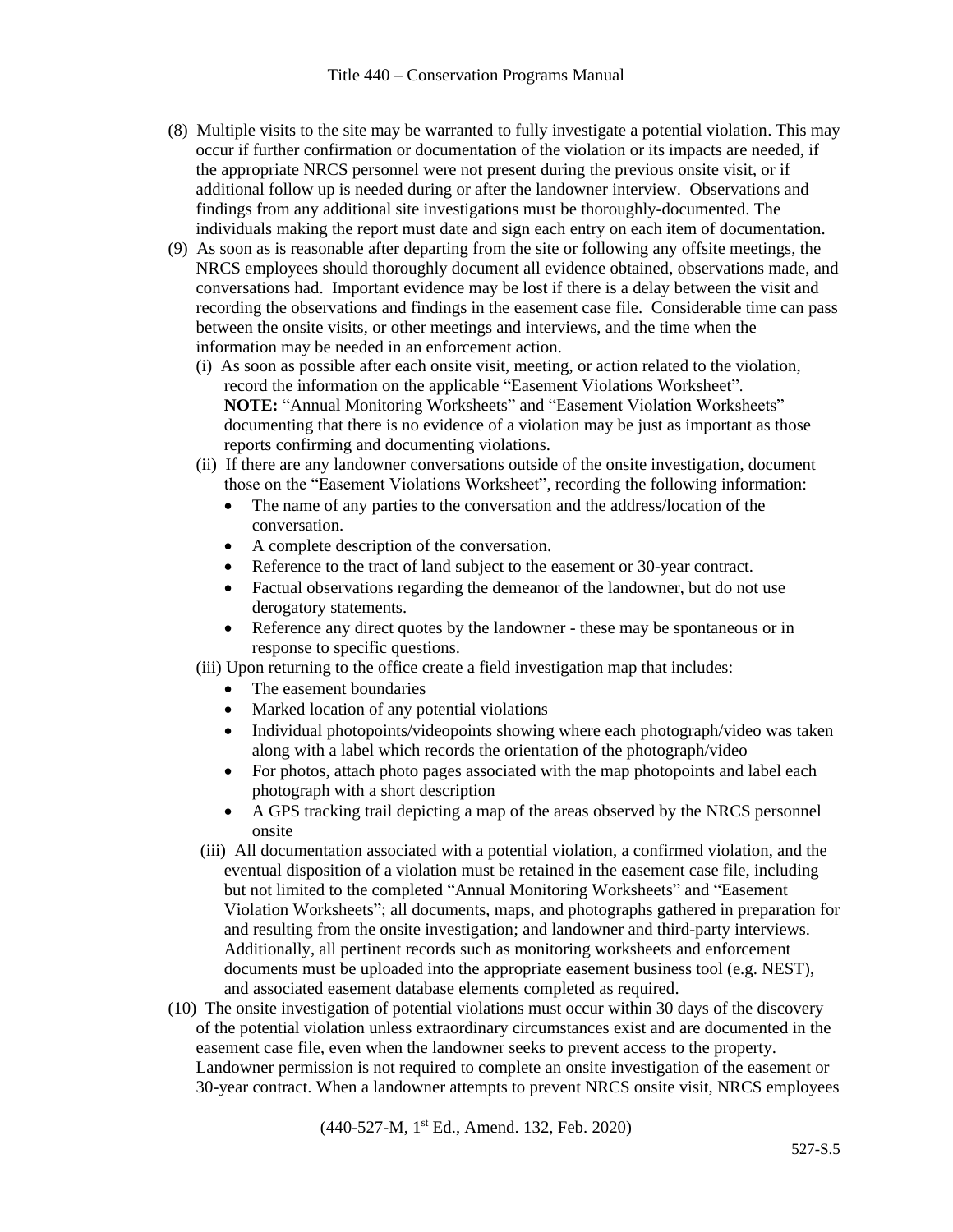- (8) Multiple visits to the site may be warranted to fully investigate a potential violation. This may occur if further confirmation or documentation of the violation or its impacts are needed, if the appropriate NRCS personnel were not present during the previous onsite visit, or if additional follow up is needed during or after the landowner interview. Observations and findings from any additional site investigations must be thoroughly-documented. The individuals making the report must date and sign each entry on each item of documentation.
- (9) As soon as is reasonable after departing from the site or following any offsite meetings, the NRCS employees should thoroughly document all evidence obtained, observations made, and conversations had. Important evidence may be lost if there is a delay between the visit and recording the observations and findings in the easement case file. Considerable time can pass between the onsite visits, or other meetings and interviews, and the time when the information may be needed in an enforcement action.
	- (i) As soon as possible after each onsite visit, meeting, or action related to the violation, record the information on the applicable "Easement Violations Worksheet". **NOTE:** "Annual Monitoring Worksheets" and "Easement Violation Worksheets" documenting that there is no evidence of a violation may be just as important as those reports confirming and documenting violations.
	- (ii) If there are any landowner conversations outside of the onsite investigation, document those on the "Easement Violations Worksheet", recording the following information:
		- The name of any parties to the conversation and the address/location of the conversation.
		- A complete description of the conversation.
		- Reference to the tract of land subject to the easement or 30-year contract.
		- Factual observations regarding the demeanor of the landowner, but do not use derogatory statements.
		- Reference any direct quotes by the landowner these may be spontaneous or in response to specific questions.

(iii) Upon returning to the office create a field investigation map that includes:

- The easement boundaries
- Marked location of any potential violations
- Individual photopoints/videopoints showing where each photograph/video was taken along with a label which records the orientation of the photograph/video
- For photos, attach photo pages associated with the map photopoints and label each photograph with a short description
- A GPS tracking trail depicting a map of the areas observed by the NRCS personnel onsite
- (iii) All documentation associated with a potential violation, a confirmed violation, and the eventual disposition of a violation must be retained in the easement case file, including but not limited to the completed "Annual Monitoring Worksheets" and "Easement Violation Worksheets"; all documents, maps, and photographs gathered in preparation for and resulting from the onsite investigation; and landowner and third-party interviews. Additionally, all pertinent records such as monitoring worksheets and enforcement documents must be uploaded into the appropriate easement business tool (e.g. NEST), and associated easement database elements completed as required.
- (10) The onsite investigation of potential violations must occur within 30 days of the discovery of the potential violation unless extraordinary circumstances exist and are documented in the easement case file, even when the landowner seeks to prevent access to the property. Landowner permission is not required to complete an onsite investigation of the easement or 30-year contract. When a landowner attempts to prevent NRCS onsite visit, NRCS employees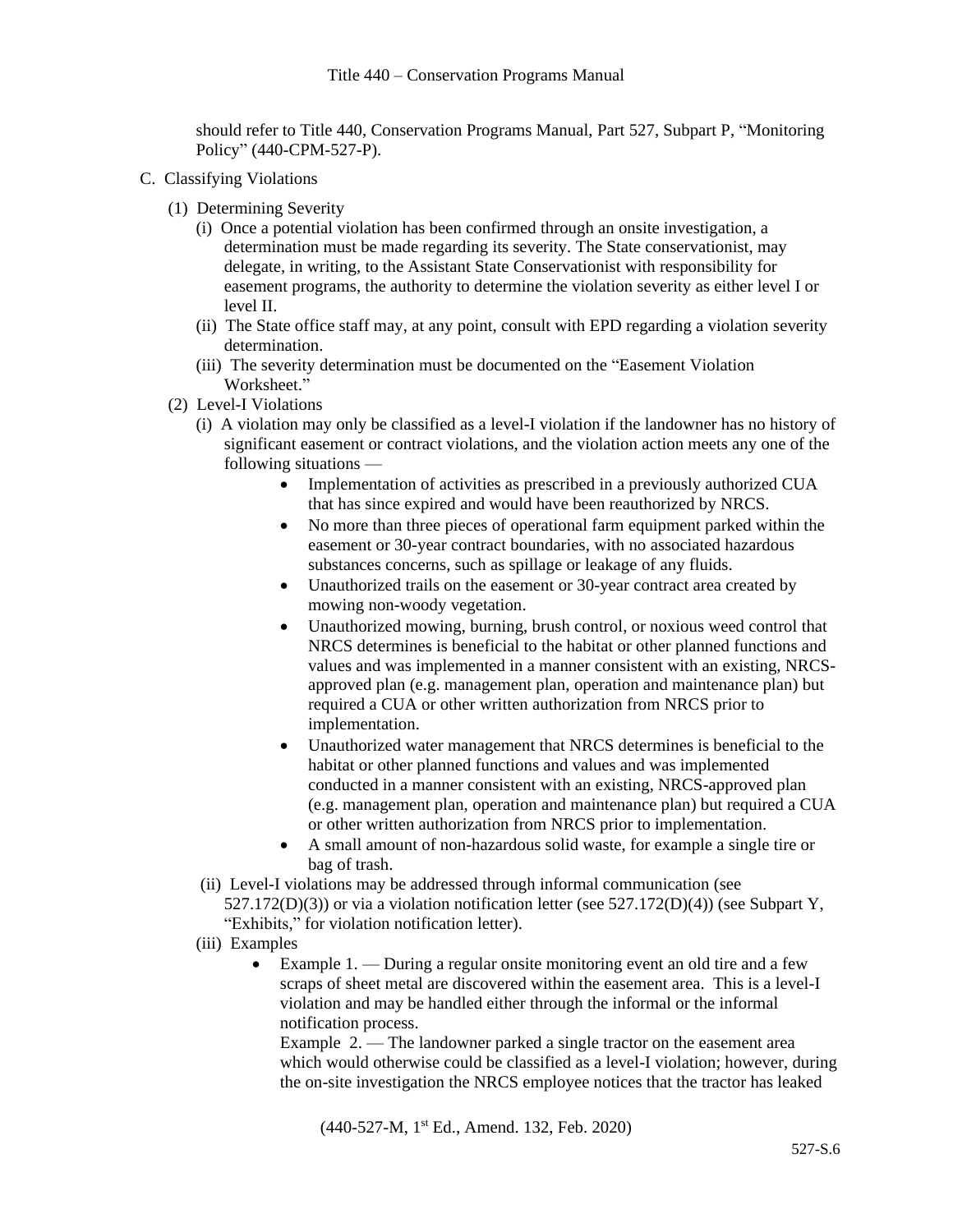should refer to Title 440, Conservation Programs Manual, Part 527, Subpart P, "Monitoring Policy" (440-CPM-527-P).

- C. Classifying Violations
	- (1) Determining Severity
		- (i) Once a potential violation has been confirmed through an onsite investigation, a determination must be made regarding its severity. The State conservationist, may delegate, in writing, to the Assistant State Conservationist with responsibility for easement programs, the authority to determine the violation severity as either level I or level II.
		- (ii) The State office staff may, at any point, consult with EPD regarding a violation severity determination.
		- (iii) The severity determination must be documented on the "Easement Violation Worksheet."
	- (2) Level-I Violations
		- (i) A violation may only be classified as a level-I violation if the landowner has no history of significant easement or contract violations, and the violation action meets any one of the following situations —
			- Implementation of activities as prescribed in a previously authorized CUA that has since expired and would have been reauthorized by NRCS.
			- No more than three pieces of operational farm equipment parked within the easement or 30-year contract boundaries, with no associated hazardous substances concerns, such as spillage or leakage of any fluids.
			- Unauthorized trails on the easement or 30-year contract area created by mowing non-woody vegetation.
			- Unauthorized mowing, burning, brush control, or noxious weed control that NRCS determines is beneficial to the habitat or other planned functions and values and was implemented in a manner consistent with an existing, NRCSapproved plan (e.g. management plan, operation and maintenance plan) but required a CUA or other written authorization from NRCS prior to implementation.
			- Unauthorized water management that NRCS determines is beneficial to the habitat or other planned functions and values and was implemented conducted in a manner consistent with an existing, NRCS-approved plan (e.g. management plan, operation and maintenance plan) but required a CUA or other written authorization from NRCS prior to implementation.
			- A small amount of non-hazardous solid waste, for example a single tire or bag of trash.
		- (ii) Level-I violations may be addressed through informal communication (see  $527.172(D)(3)$ ) or via a violation notification letter (see  $527.172(D)(4)$ ) (see Subpart Y, "Exhibits," for violation notification letter).
		- (iii) Examples
			- Example  $1.$  During a regular onsite monitoring event an old tire and a few scraps of sheet metal are discovered within the easement area. This is a level-I violation and may be handled either through the informal or the informal notification process.

Example 2. — The landowner parked a single tractor on the easement area which would otherwise could be classified as a level-I violation; however, during the on-site investigation the NRCS employee notices that the tractor has leaked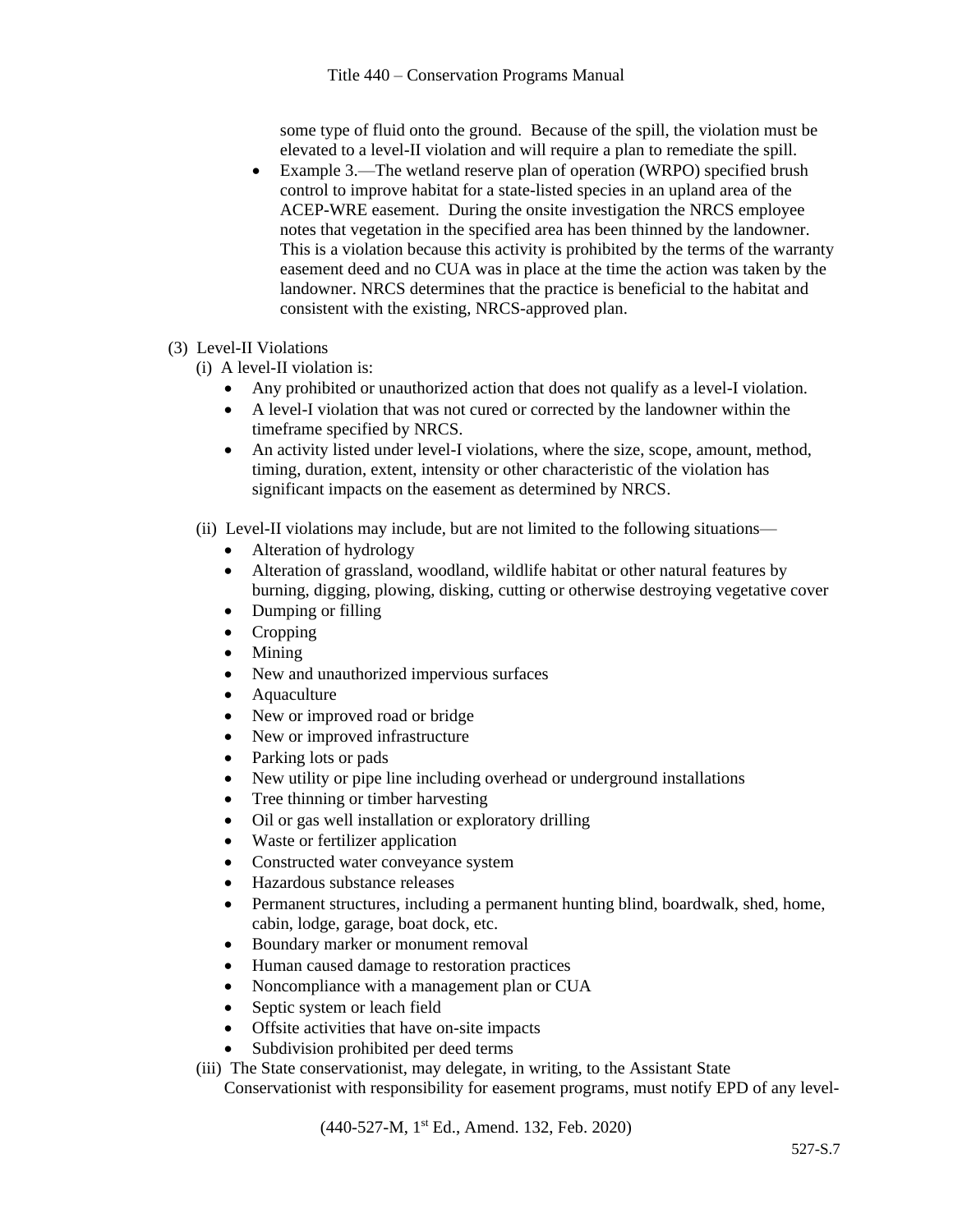some type of fluid onto the ground. Because of the spill, the violation must be elevated to a level-II violation and will require a plan to remediate the spill.

- Example 3.—The wetland reserve plan of operation (WRPO) specified brush control to improve habitat for a state-listed species in an upland area of the ACEP-WRE easement. During the onsite investigation the NRCS employee notes that vegetation in the specified area has been thinned by the landowner. This is a violation because this activity is prohibited by the terms of the warranty easement deed and no CUA was in place at the time the action was taken by the landowner. NRCS determines that the practice is beneficial to the habitat and consistent with the existing, NRCS-approved plan.
- (3) Level-II Violations
	- (i) A level-II violation is:
		- Any prohibited or unauthorized action that does not qualify as a level-I violation.
		- A level-I violation that was not cured or corrected by the landowner within the timeframe specified by NRCS.
		- An activity listed under level-I violations, where the size, scope, amount, method, timing, duration, extent, intensity or other characteristic of the violation has significant impacts on the easement as determined by NRCS.
	- (ii) Level-II violations may include, but are not limited to the following situations—
		- Alteration of hydrology
		- Alteration of grassland, woodland, wildlife habitat or other natural features by burning, digging, plowing, disking, cutting or otherwise destroying vegetative cover
		- Dumping or filling
		- Cropping
		- Mining
		- New and unauthorized impervious surfaces
		- Aquaculture
		- New or improved road or bridge
		- New or improved infrastructure
		- Parking lots or pads
		- New utility or pipe line including overhead or underground installations
		- Tree thinning or timber harvesting
		- Oil or gas well installation or exploratory drilling
		- Waste or fertilizer application
		- Constructed water conveyance system
		- Hazardous substance releases
		- Permanent structures, including a permanent hunting blind, boardwalk, shed, home, cabin, lodge, garage, boat dock, etc.
		- Boundary marker or monument removal
		- Human caused damage to restoration practices
		- Noncompliance with a management plan or CUA
		- Septic system or leach field
		- Offsite activities that have on-site impacts
		- Subdivision prohibited per deed terms
	- (iii) The State conservationist, may delegate, in writing, to the Assistant State

Conservationist with responsibility for easement programs, must notify EPD of any level-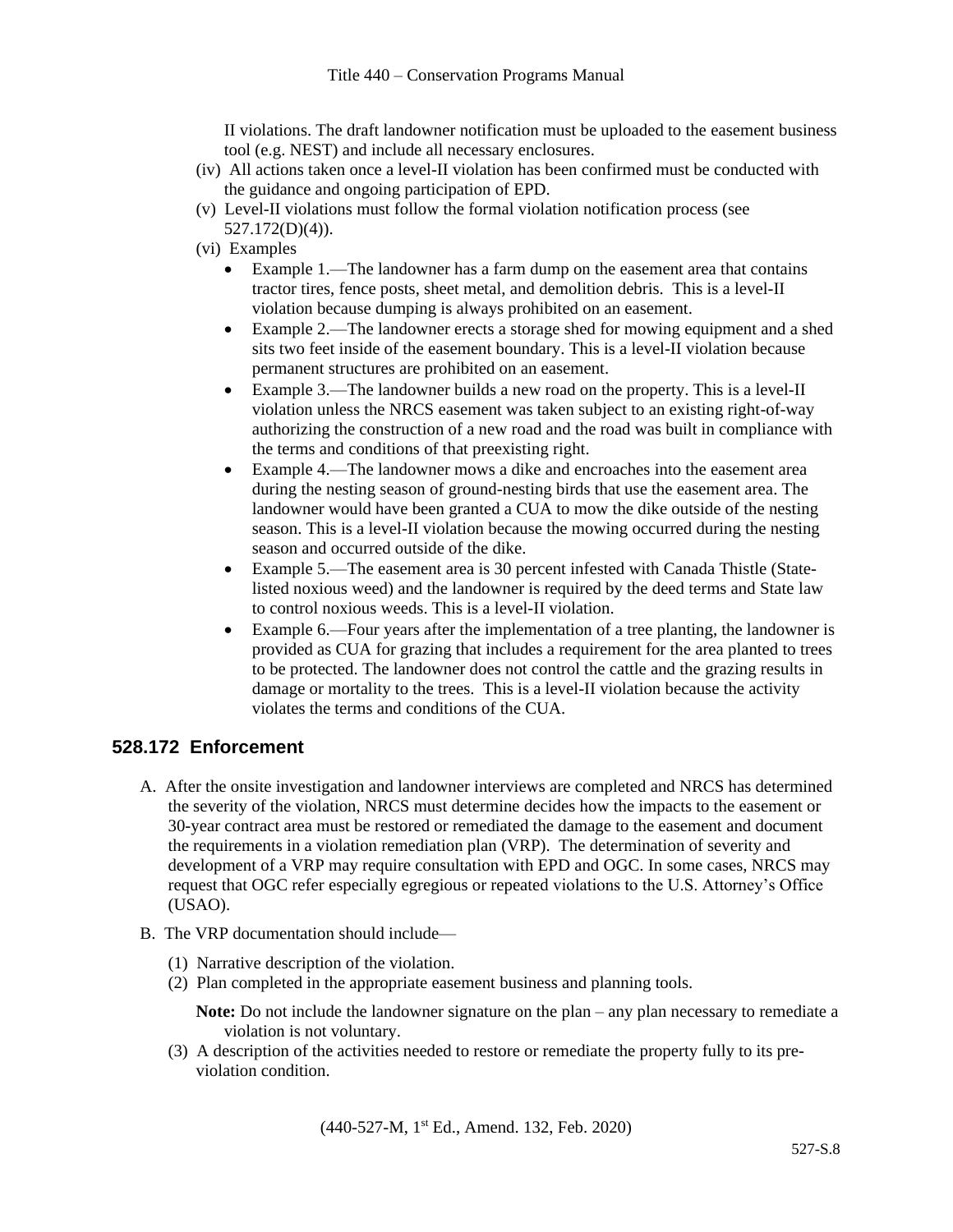II violations. The draft landowner notification must be uploaded to the easement business tool (e.g. NEST) and include all necessary enclosures.

- (iv) All actions taken once a level-II violation has been confirmed must be conducted with the guidance and ongoing participation of EPD.
- (v) Level-II violations must follow the formal violation notification process (see 527.172(D)(4)).
- (vi) Examples
	- Example 1.—The landowner has a farm dump on the easement area that contains tractor tires, fence posts, sheet metal, and demolition debris. This is a level-II violation because dumping is always prohibited on an easement.
	- Example 2.—The landowner erects a storage shed for mowing equipment and a shed sits two feet inside of the easement boundary. This is a level-II violation because permanent structures are prohibited on an easement.
	- Example 3.—The landowner builds a new road on the property. This is a level-II violation unless the NRCS easement was taken subject to an existing right-of-way authorizing the construction of a new road and the road was built in compliance with the terms and conditions of that preexisting right.
	- Example 4.—The landowner mows a dike and encroaches into the easement area during the nesting season of ground-nesting birds that use the easement area. The landowner would have been granted a CUA to mow the dike outside of the nesting season. This is a level-II violation because the mowing occurred during the nesting season and occurred outside of the dike.
	- Example 5.—The easement area is 30 percent infested with Canada Thistle (Statelisted noxious weed) and the landowner is required by the deed terms and State law to control noxious weeds. This is a level-II violation.
	- Example 6.—Four years after the implementation of a tree planting, the landowner is provided as CUA for grazing that includes a requirement for the area planted to trees to be protected. The landowner does not control the cattle and the grazing results in damage or mortality to the trees. This is a level-II violation because the activity violates the terms and conditions of the CUA.

### **528.172 Enforcement**

- A. After the onsite investigation and landowner interviews are completed and NRCS has determined the severity of the violation, NRCS must determine decides how the impacts to the easement or 30-year contract area must be restored or remediated the damage to the easement and document the requirements in a violation remediation plan (VRP). The determination of severity and development of a VRP may require consultation with EPD and OGC. In some cases, NRCS may request that OGC refer especially egregious or repeated violations to the U.S. Attorney's Office (USAO).
- B. The VRP documentation should include—
	- (1) Narrative description of the violation.
	- (2) Plan completed in the appropriate easement business and planning tools.

**Note:** Do not include the landowner signature on the plan – any plan necessary to remediate a violation is not voluntary.

(3) A description of the activities needed to restore or remediate the property fully to its previolation condition.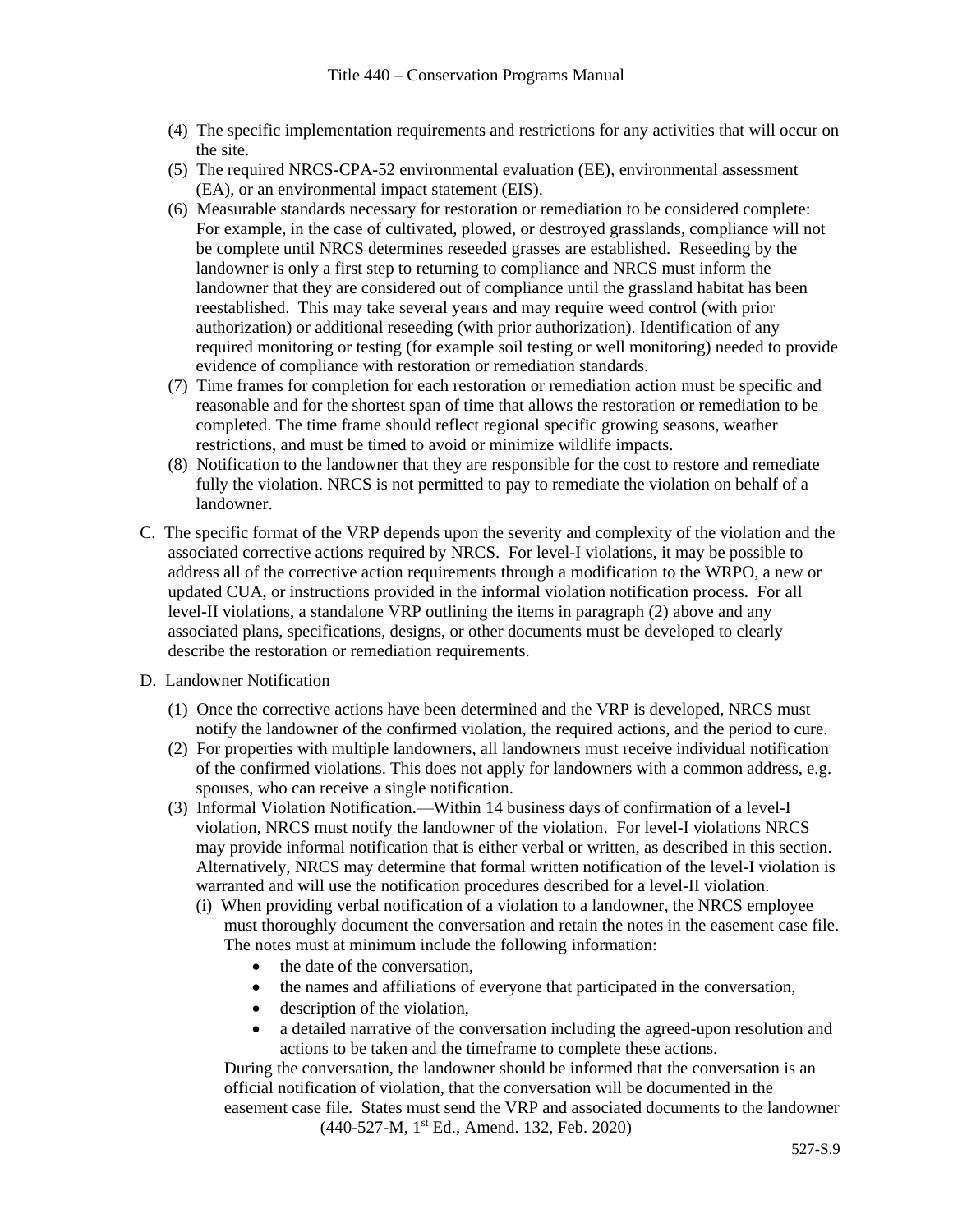- (4) The specific implementation requirements and restrictions for any activities that will occur on the site.
- (5) The required NRCS-CPA-52 environmental evaluation (EE), environmental assessment (EA), or an environmental impact statement (EIS).
- (6) Measurable standards necessary for restoration or remediation to be considered complete: For example, in the case of cultivated, plowed, or destroyed grasslands, compliance will not be complete until NRCS determines reseeded grasses are established. Reseeding by the landowner is only a first step to returning to compliance and NRCS must inform the landowner that they are considered out of compliance until the grassland habitat has been reestablished. This may take several years and may require weed control (with prior authorization) or additional reseeding (with prior authorization). Identification of any required monitoring or testing (for example soil testing or well monitoring) needed to provide evidence of compliance with restoration or remediation standards.
- (7) Time frames for completion for each restoration or remediation action must be specific and reasonable and for the shortest span of time that allows the restoration or remediation to be completed. The time frame should reflect regional specific growing seasons, weather restrictions, and must be timed to avoid or minimize wildlife impacts.
- (8) Notification to the landowner that they are responsible for the cost to restore and remediate fully the violation. NRCS is not permitted to pay to remediate the violation on behalf of a landowner.
- C. The specific format of the VRP depends upon the severity and complexity of the violation and the associated corrective actions required by NRCS. For level-I violations, it may be possible to address all of the corrective action requirements through a modification to the WRPO, a new or updated CUA, or instructions provided in the informal violation notification process. For all level-II violations, a standalone VRP outlining the items in paragraph (2) above and any associated plans, specifications, designs, or other documents must be developed to clearly describe the restoration or remediation requirements.
- D. Landowner Notification
	- (1) Once the corrective actions have been determined and the VRP is developed, NRCS must notify the landowner of the confirmed violation, the required actions, and the period to cure.
	- (2) For properties with multiple landowners, all landowners must receive individual notification of the confirmed violations. This does not apply for landowners with a common address, e.g. spouses, who can receive a single notification.
	- (3) Informal Violation Notification.—Within 14 business days of confirmation of a level-I violation, NRCS must notify the landowner of the violation. For level-I violations NRCS may provide informal notification that is either verbal or written, as described in this section. Alternatively, NRCS may determine that formal written notification of the level-I violation is warranted and will use the notification procedures described for a level-II violation.
		- (i) When providing verbal notification of a violation to a landowner, the NRCS employee must thoroughly document the conversation and retain the notes in the easement case file. The notes must at minimum include the following information:
			- the date of the conversation,
			- the names and affiliations of everyone that participated in the conversation,
			- description of the violation,
			- a detailed narrative of the conversation including the agreed-upon resolution and actions to be taken and the timeframe to complete these actions.

(440-527-M, 1 st Ed., Amend. 132, Feb. 2020) During the conversation, the landowner should be informed that the conversation is an official notification of violation, that the conversation will be documented in the easement case file. States must send the VRP and associated documents to the landowner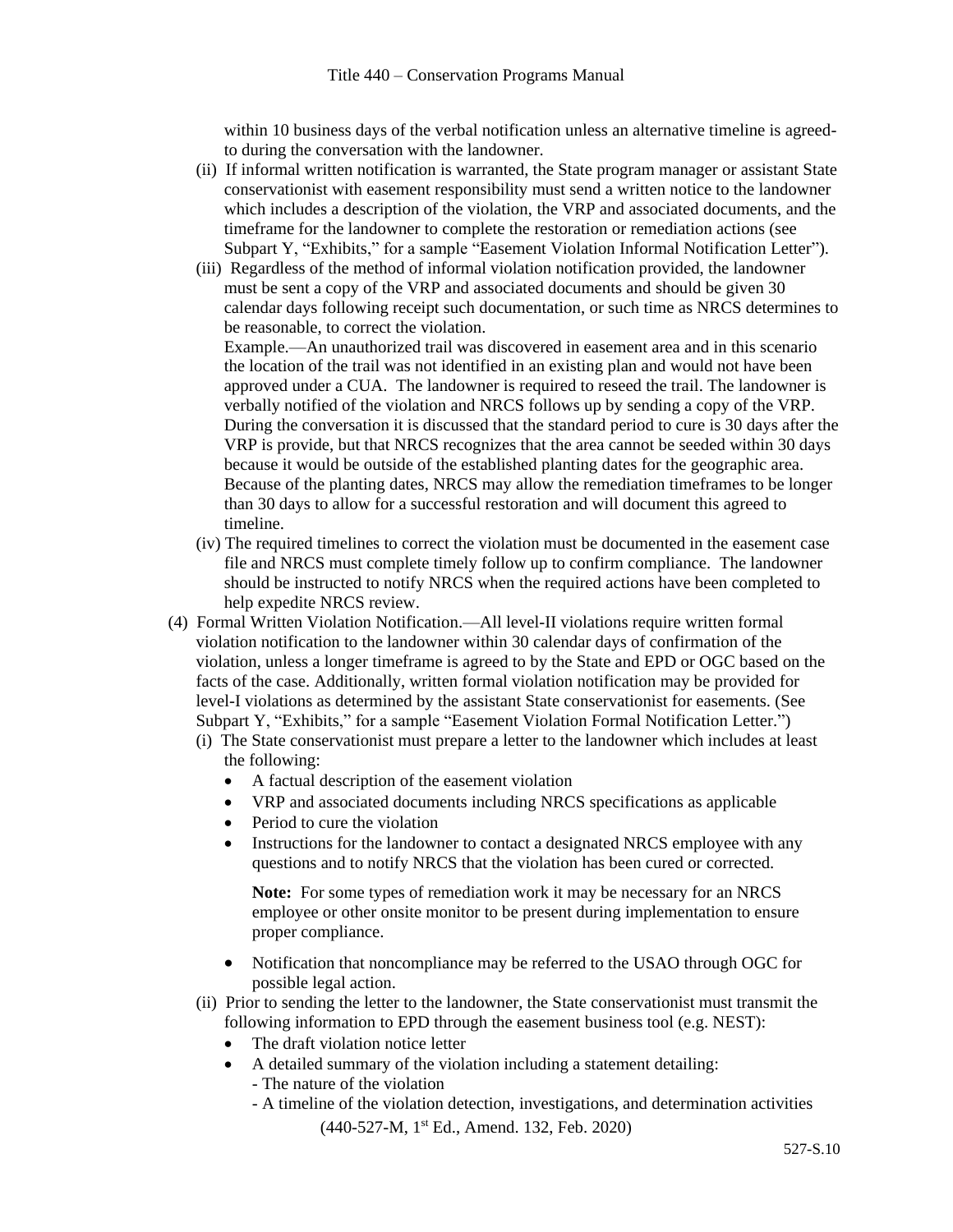within 10 business days of the verbal notification unless an alternative timeline is agreedto during the conversation with the landowner.

- (ii) If informal written notification is warranted, the State program manager or assistant State conservationist with easement responsibility must send a written notice to the landowner which includes a description of the violation, the VRP and associated documents, and the timeframe for the landowner to complete the restoration or remediation actions (see Subpart Y, "Exhibits," for a sample "Easement Violation Informal Notification Letter").
- (iii) Regardless of the method of informal violation notification provided, the landowner must be sent a copy of the VRP and associated documents and should be given 30 calendar days following receipt such documentation, or such time as NRCS determines to be reasonable, to correct the violation.

Example.—An unauthorized trail was discovered in easement area and in this scenario the location of the trail was not identified in an existing plan and would not have been approved under a CUA. The landowner is required to reseed the trail. The landowner is verbally notified of the violation and NRCS follows up by sending a copy of the VRP. During the conversation it is discussed that the standard period to cure is 30 days after the VRP is provide, but that NRCS recognizes that the area cannot be seeded within 30 days because it would be outside of the established planting dates for the geographic area. Because of the planting dates, NRCS may allow the remediation timeframes to be longer than 30 days to allow for a successful restoration and will document this agreed to timeline.

- (iv) The required timelines to correct the violation must be documented in the easement case file and NRCS must complete timely follow up to confirm compliance. The landowner should be instructed to notify NRCS when the required actions have been completed to help expedite NRCS review.
- (4) Formal Written Violation Notification.—All level-II violations require written formal violation notification to the landowner within 30 calendar days of confirmation of the violation, unless a longer timeframe is agreed to by the State and EPD or OGC based on the facts of the case. Additionally, written formal violation notification may be provided for level-I violations as determined by the assistant State conservationist for easements. (See Subpart Y, "Exhibits," for a sample "Easement Violation Formal Notification Letter.")
	- (i) The State conservationist must prepare a letter to the landowner which includes at least the following:
		- A factual description of the easement violation
		- VRP and associated documents including NRCS specifications as applicable
		- Period to cure the violation
		- Instructions for the landowner to contact a designated NRCS employee with any questions and to notify NRCS that the violation has been cured or corrected.

**Note:** For some types of remediation work it may be necessary for an NRCS employee or other onsite monitor to be present during implementation to ensure proper compliance.

- Notification that noncompliance may be referred to the USAO through OGC for possible legal action.
- (ii) Prior to sending the letter to the landowner, the State conservationist must transmit the following information to EPD through the easement business tool (e.g. NEST):
	- The draft violation notice letter
	- A detailed summary of the violation including a statement detailing:
		- The nature of the violation
		- (440-527-M, 1 st Ed., Amend. 132, Feb. 2020) - A timeline of the violation detection, investigations, and determination activities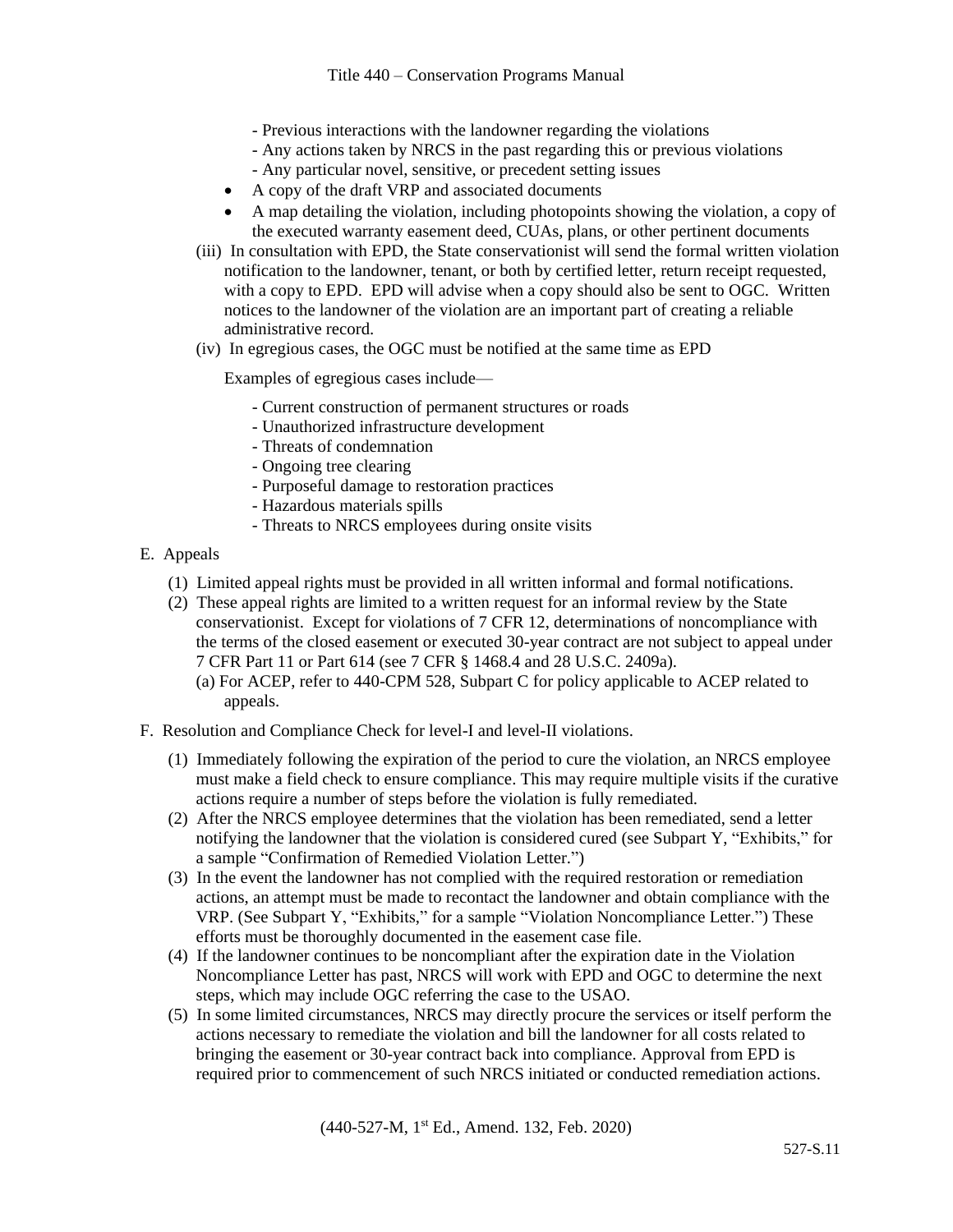- Previous interactions with the landowner regarding the violations
- Any actions taken by NRCS in the past regarding this or previous violations
- Any particular novel, sensitive, or precedent setting issues
- A copy of the draft VRP and associated documents
- A map detailing the violation, including photopoints showing the violation, a copy of the executed warranty easement deed, CUAs, plans, or other pertinent documents
- (iii) In consultation with EPD, the State conservationist will send the formal written violation notification to the landowner, tenant, or both by certified letter, return receipt requested, with a copy to EPD. EPD will advise when a copy should also be sent to OGC. Written notices to the landowner of the violation are an important part of creating a reliable administrative record.
- (iv) In egregious cases, the OGC must be notified at the same time as EPD

Examples of egregious cases include—

- Current construction of permanent structures or roads
- Unauthorized infrastructure development
- Threats of condemnation
- Ongoing tree clearing
- Purposeful damage to restoration practices
- Hazardous materials spills
- Threats to NRCS employees during onsite visits
- E. Appeals
	- (1) Limited appeal rights must be provided in all written informal and formal notifications.
	- (2) These appeal rights are limited to a written request for an informal review by the State conservationist. Except for violations of 7 CFR 12, determinations of noncompliance with the terms of the closed easement or executed 30-year contract are not subject to appeal under 7 CFR Part 11 or Part 614 (see 7 CFR § 1468.4 and 28 U.S.C. 2409a).
		- (a) For ACEP, refer to 440-CPM 528, Subpart C for policy applicable to ACEP related to appeals.
- F. Resolution and Compliance Check for level-I and level-II violations.
	- (1) Immediately following the expiration of the period to cure the violation, an NRCS employee must make a field check to ensure compliance. This may require multiple visits if the curative actions require a number of steps before the violation is fully remediated.
	- (2) After the NRCS employee determines that the violation has been remediated, send a letter notifying the landowner that the violation is considered cured (see Subpart Y, "Exhibits," for a sample "Confirmation of Remedied Violation Letter.")
	- (3) In the event the landowner has not complied with the required restoration or remediation actions, an attempt must be made to recontact the landowner and obtain compliance with the VRP. (See Subpart Y, "Exhibits," for a sample "Violation Noncompliance Letter.") These efforts must be thoroughly documented in the easement case file.
	- (4) If the landowner continues to be noncompliant after the expiration date in the Violation Noncompliance Letter has past, NRCS will work with EPD and OGC to determine the next steps, which may include OGC referring the case to the USAO.
	- (5) In some limited circumstances, NRCS may directly procure the services or itself perform the actions necessary to remediate the violation and bill the landowner for all costs related to bringing the easement or 30-year contract back into compliance. Approval from EPD is required prior to commencement of such NRCS initiated or conducted remediation actions.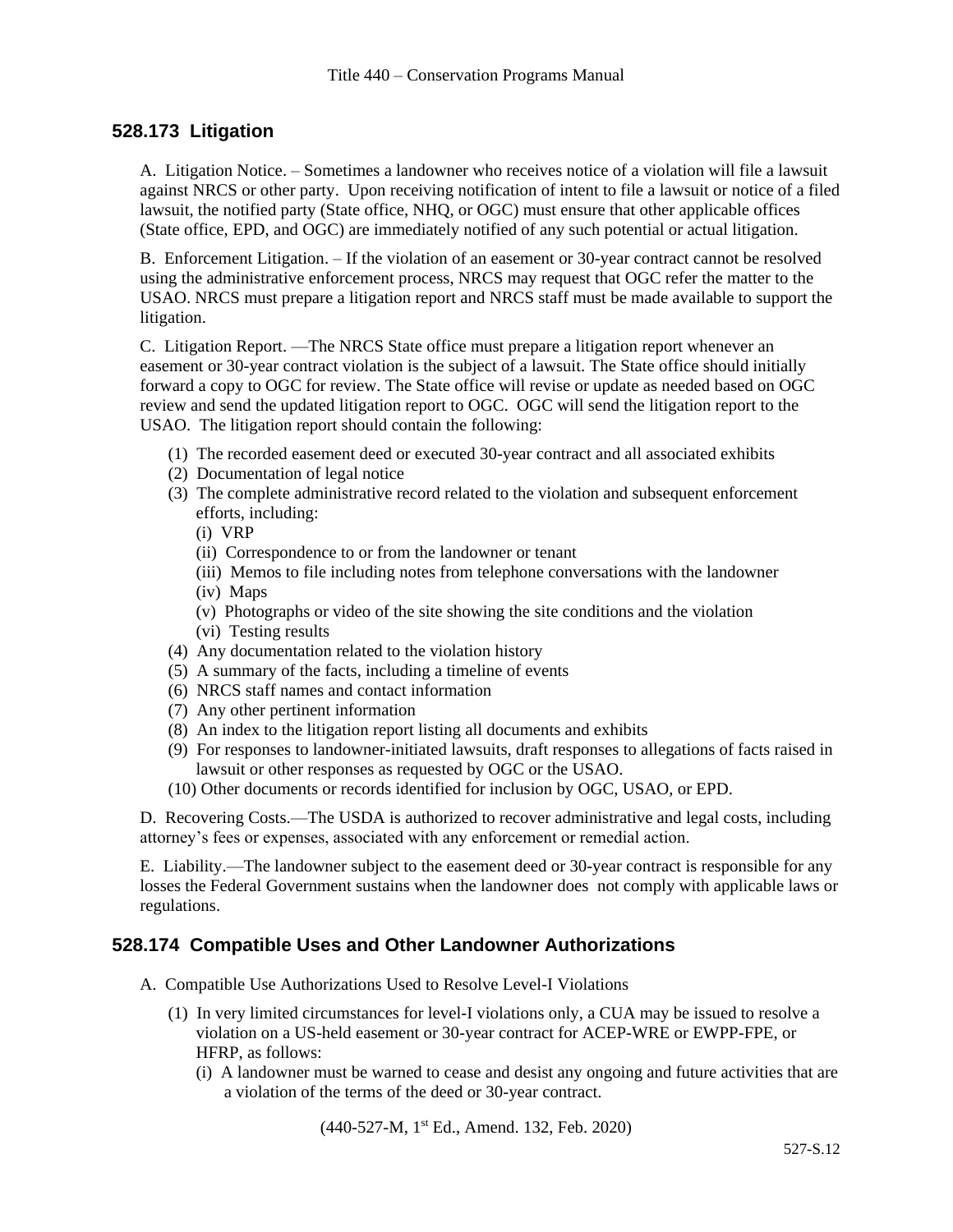# **528.173 Litigation**

A. Litigation Notice. – Sometimes a landowner who receives notice of a violation will file a lawsuit against NRCS or other party. Upon receiving notification of intent to file a lawsuit or notice of a filed lawsuit, the notified party (State office, NHQ, or OGC) must ensure that other applicable offices (State office, EPD, and OGC) are immediately notified of any such potential or actual litigation.

B. Enforcement Litigation. – If the violation of an easement or 30-year contract cannot be resolved using the administrative enforcement process, NRCS may request that OGC refer the matter to the USAO. NRCS must prepare a litigation report and NRCS staff must be made available to support the litigation.

C. Litigation Report. —The NRCS State office must prepare a litigation report whenever an easement or 30-year contract violation is the subject of a lawsuit. The State office should initially forward a copy to OGC for review. The State office will revise or update as needed based on OGC review and send the updated litigation report to OGC. OGC will send the litigation report to the USAO. The litigation report should contain the following:

- (1) The recorded easement deed or executed 30-year contract and all associated exhibits
- (2) Documentation of legal notice
- (3) The complete administrative record related to the violation and subsequent enforcement efforts, including:
	- (i) VRP
	- (ii) Correspondence to or from the landowner or tenant
	- (iii) Memos to file including notes from telephone conversations with the landowner
	- (iv) Maps
	- (v) Photographs or video of the site showing the site conditions and the violation
	- (vi) Testing results
- (4) Any documentation related to the violation history
- (5) A summary of the facts, including a timeline of events
- (6) NRCS staff names and contact information
- (7) Any other pertinent information
- (8) An index to the litigation report listing all documents and exhibits
- (9) For responses to landowner-initiated lawsuits, draft responses to allegations of facts raised in lawsuit or other responses as requested by OGC or the USAO.
- (10) Other documents or records identified for inclusion by OGC, USAO, or EPD.

D. Recovering Costs.—The USDA is authorized to recover administrative and legal costs, including attorney's fees or expenses, associated with any enforcement or remedial action.

E. Liability.—The landowner subject to the easement deed or 30-year contract is responsible for any losses the Federal Government sustains when the landowner does not comply with applicable laws or regulations.

#### **528.174 Compatible Uses and Other Landowner Authorizations**

- A. Compatible Use Authorizations Used to Resolve Level-I Violations
	- (1) In very limited circumstances for level-I violations only, a CUA may be issued to resolve a violation on a US-held easement or 30-year contract for ACEP-WRE or EWPP-FPE, or HFRP, as follows:
		- (i) A landowner must be warned to cease and desist any ongoing and future activities that are a violation of the terms of the deed or 30-year contract.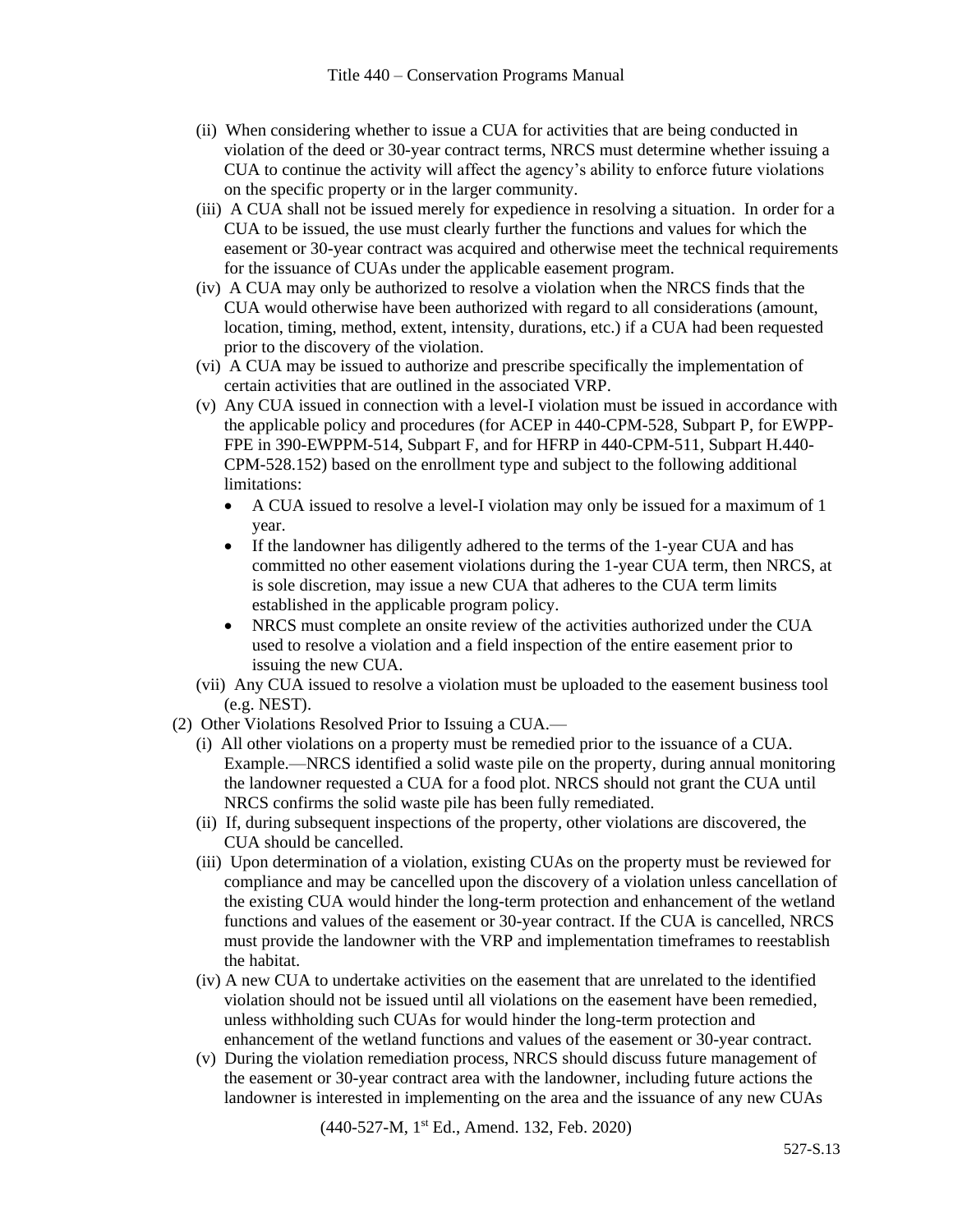- (ii) When considering whether to issue a CUA for activities that are being conducted in violation of the deed or 30-year contract terms, NRCS must determine whether issuing a CUA to continue the activity will affect the agency's ability to enforce future violations on the specific property or in the larger community.
- (iii) A CUA shall not be issued merely for expedience in resolving a situation. In order for a CUA to be issued, the use must clearly further the functions and values for which the easement or 30-year contract was acquired and otherwise meet the technical requirements for the issuance of CUAs under the applicable easement program.
- (iv) A CUA may only be authorized to resolve a violation when the NRCS finds that the CUA would otherwise have been authorized with regard to all considerations (amount, location, timing, method, extent, intensity, durations, etc.) if a CUA had been requested prior to the discovery of the violation.
- (vi) A CUA may be issued to authorize and prescribe specifically the implementation of certain activities that are outlined in the associated VRP.
- (v) Any CUA issued in connection with a level-I violation must be issued in accordance with the applicable policy and procedures (for ACEP in 440-CPM-528, Subpart P, for EWPP-FPE in 390-EWPPM-514, Subpart F, and for HFRP in 440-CPM-511, Subpart H.440- CPM-528.152) based on the enrollment type and subject to the following additional limitations:
	- A CUA issued to resolve a level-I violation may only be issued for a maximum of 1 year.
	- If the landowner has diligently adhered to the terms of the 1-year CUA and has committed no other easement violations during the 1-year CUA term, then NRCS, at is sole discretion, may issue a new CUA that adheres to the CUA term limits established in the applicable program policy.
	- NRCS must complete an onsite review of the activities authorized under the CUA used to resolve a violation and a field inspection of the entire easement prior to issuing the new CUA.
- (vii) Any CUA issued to resolve a violation must be uploaded to the easement business tool (e.g. NEST).
- (2) Other Violations Resolved Prior to Issuing a CUA.—
	- (i) All other violations on a property must be remedied prior to the issuance of a CUA. Example.—NRCS identified a solid waste pile on the property, during annual monitoring the landowner requested a CUA for a food plot. NRCS should not grant the CUA until NRCS confirms the solid waste pile has been fully remediated.
	- (ii) If, during subsequent inspections of the property, other violations are discovered, the CUA should be cancelled.
	- (iii) Upon determination of a violation, existing CUAs on the property must be reviewed for compliance and may be cancelled upon the discovery of a violation unless cancellation of the existing CUA would hinder the long-term protection and enhancement of the wetland functions and values of the easement or 30-year contract. If the CUA is cancelled, NRCS must provide the landowner with the VRP and implementation timeframes to reestablish the habitat.
	- (iv) A new CUA to undertake activities on the easement that are unrelated to the identified violation should not be issued until all violations on the easement have been remedied, unless withholding such CUAs for would hinder the long-term protection and enhancement of the wetland functions and values of the easement or 30-year contract.
	- (v) During the violation remediation process, NRCS should discuss future management of the easement or 30-year contract area with the landowner, including future actions the landowner is interested in implementing on the area and the issuance of any new CUAs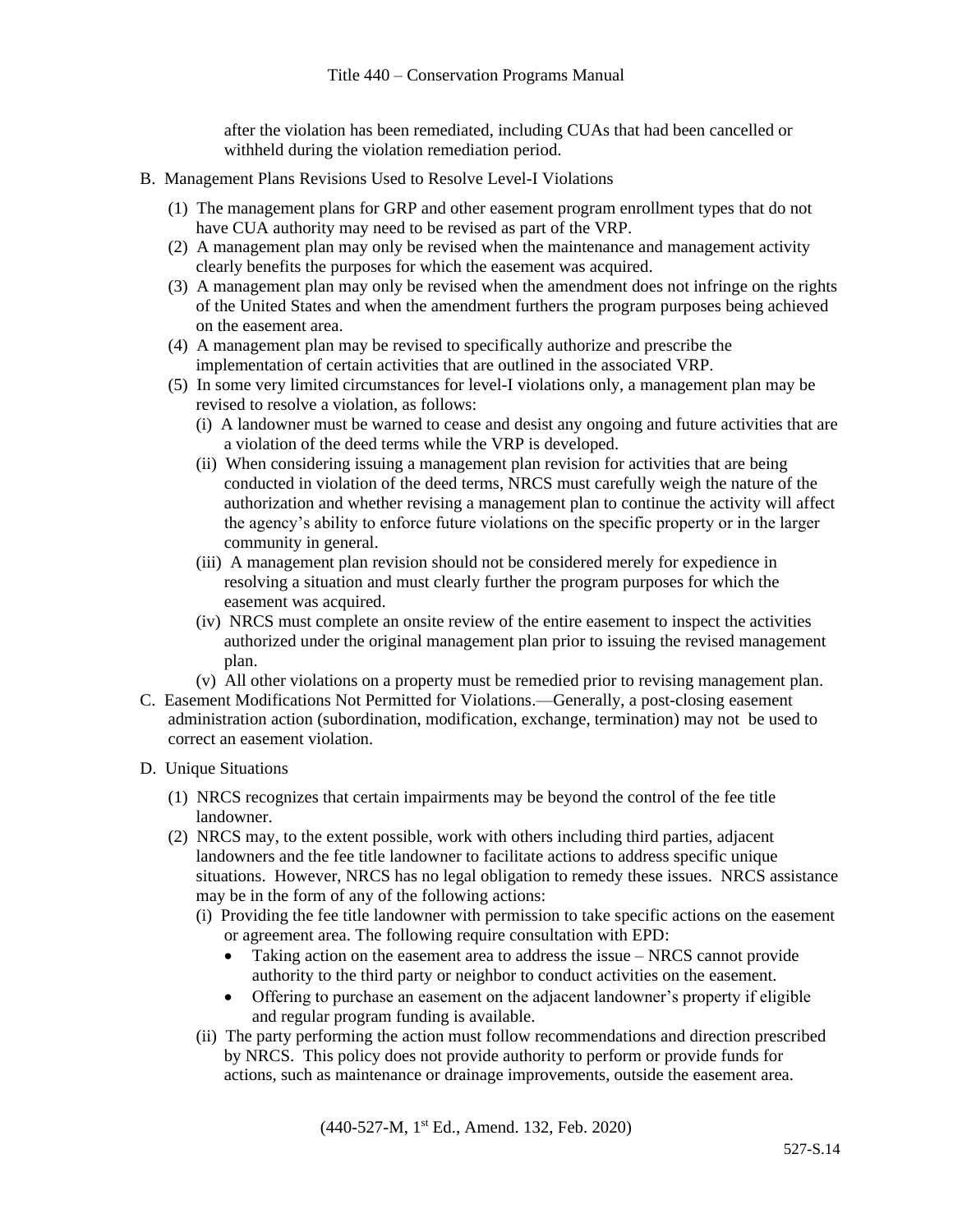after the violation has been remediated, including CUAs that had been cancelled or withheld during the violation remediation period.

- B. Management Plans Revisions Used to Resolve Level-I Violations
	- (1) The management plans for GRP and other easement program enrollment types that do not have CUA authority may need to be revised as part of the VRP.
	- (2) A management plan may only be revised when the maintenance and management activity clearly benefits the purposes for which the easement was acquired.
	- (3) A management plan may only be revised when the amendment does not infringe on the rights of the United States and when the amendment furthers the program purposes being achieved on the easement area.
	- (4) A management plan may be revised to specifically authorize and prescribe the implementation of certain activities that are outlined in the associated VRP.
	- (5) In some very limited circumstances for level-I violations only, a management plan may be revised to resolve a violation, as follows:
		- (i) A landowner must be warned to cease and desist any ongoing and future activities that are a violation of the deed terms while the VRP is developed.
		- (ii) When considering issuing a management plan revision for activities that are being conducted in violation of the deed terms, NRCS must carefully weigh the nature of the authorization and whether revising a management plan to continue the activity will affect the agency's ability to enforce future violations on the specific property or in the larger community in general.
		- (iii) A management plan revision should not be considered merely for expedience in resolving a situation and must clearly further the program purposes for which the easement was acquired.
		- (iv) NRCS must complete an onsite review of the entire easement to inspect the activities authorized under the original management plan prior to issuing the revised management plan.
		- (v) All other violations on a property must be remedied prior to revising management plan.
- C. Easement Modifications Not Permitted for Violations.––Generally, a post-closing easement administration action (subordination, modification, exchange, termination) may not be used to correct an easement violation.
- D. Unique Situations
	- (1) NRCS recognizes that certain impairments may be beyond the control of the fee title landowner.
	- (2) NRCS may, to the extent possible, work with others including third parties, adjacent landowners and the fee title landowner to facilitate actions to address specific unique situations. However, NRCS has no legal obligation to remedy these issues. NRCS assistance may be in the form of any of the following actions:
		- (i) Providing the fee title landowner with permission to take specific actions on the easement or agreement area. The following require consultation with EPD:
			- Taking action on the easement area to address the issue NRCS cannot provide authority to the third party or neighbor to conduct activities on the easement.
			- Offering to purchase an easement on the adjacent landowner's property if eligible and regular program funding is available.
		- (ii) The party performing the action must follow recommendations and direction prescribed by NRCS. This policy does not provide authority to perform or provide funds for actions, such as maintenance or drainage improvements, outside the easement area.